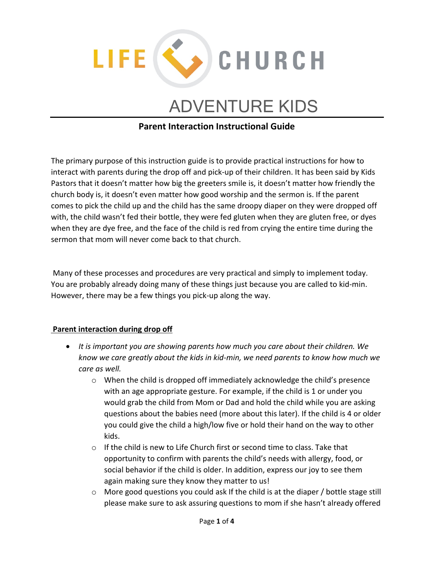

# ADVENTURE KIDS

## **Parent Interaction Instructional Guide**

The primary purpose of this instruction guide is to provide practical instructions for how to interact with parents during the drop off and pick-up of their children. It has been said by Kids Pastors that it doesn't matter how big the greeters smile is, it doesn't matter how friendly the church body is, it doesn't even matter how good worship and the sermon is. If the parent comes to pick the child up and the child has the same droopy diaper on they were dropped off with, the child wasn't fed their bottle, they were fed gluten when they are gluten free, or dyes when they are dye free, and the face of the child is red from crying the entire time during the sermon that mom will never come back to that church.

Many of these processes and procedures are very practical and simply to implement today. You are probably already doing many of these things just because you are called to kid-min. However, there may be a few things you pick-up along the way.

## **Parent interaction during drop off**

- *It is important you are showing parents how much you care about their children. We know we care greatly about the kids in kid-min, we need parents to know how much we care as well.* 
	- o When the child is dropped off immediately acknowledge the child's presence with an age appropriate gesture. For example, if the child is 1 or under you would grab the child from Mom or Dad and hold the child while you are asking questions about the babies need (more about this later). If the child is 4 or older you could give the child a high/low five or hold their hand on the way to other kids.
	- $\circ$  If the child is new to Life Church first or second time to class. Take that opportunity to confirm with parents the child's needs with allergy, food, or social behavior if the child is older. In addition, express our joy to see them again making sure they know they matter to us!
	- $\circ$  More good questions you could ask If the child is at the diaper / bottle stage still please make sure to ask assuring questions to mom if she hasn't already offered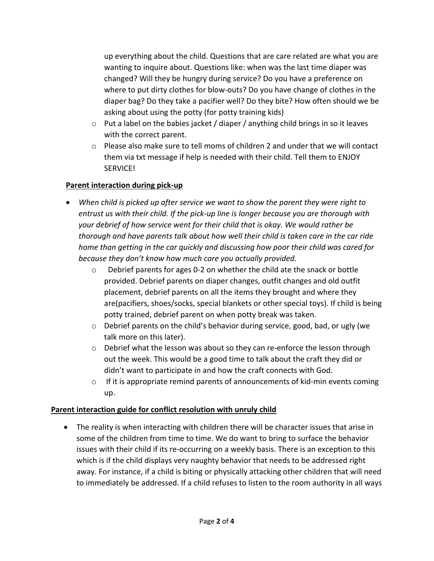up everything about the child. Questions that are care related are what you are wanting to inquire about. Questions like: when was the last time diaper was changed? Will they be hungry during service? Do you have a preference on where to put dirty clothes for blow-outs? Do you have change of clothes in the diaper bag? Do they take a pacifier well? Do they bite? How often should we be asking about using the potty (for potty training kids)

- $\circ$  Put a label on the babies jacket / diaper / anything child brings in so it leaves with the correct parent.
- $\circ$  Please also make sure to tell moms of children 2 and under that we will contact them via txt message if help is needed with their child. Tell them to ENJOY SERVICE!

## **Parent interaction during pick-up**

- *When child is picked up after service we want to show the parent they were right to entrust us with their child. If the pick-up line is longer because you are thorough with your debrief of how service went for their child that is okay. We would rather be thorough and have parents talk about how well their child is taken care in the car ride home than getting in the car quickly and discussing how poor their child was cared for because they don't know how much care you actually provided.* 
	- $\circ$  Debrief parents for ages 0-2 on whether the child ate the snack or bottle provided. Debrief parents on diaper changes, outfit changes and old outfit placement, debrief parents on all the items they brought and where they are(pacifiers, shoes/socks, special blankets or other special toys). If child is being potty trained, debrief parent on when potty break was taken.
	- o Debrief parents on the child's behavior during service, good, bad, or ugly (we talk more on this later).
	- $\circ$  Debrief what the lesson was about so they can re-enforce the lesson through out the week. This would be a good time to talk about the craft they did or didn't want to participate in and how the craft connects with God.
	- o If it is appropriate remind parents of announcements of kid-min events coming up.

## **Parent interaction guide for conflict resolution with unruly child**

• The reality is when interacting with children there will be character issues that arise in some of the children from time to time. We do want to bring to surface the behavior issues with their child if its re-occurring on a weekly basis. There is an exception to this which is if the child displays very naughty behavior that needs to be addressed right away. For instance, if a child is biting or physically attacking other children that will need to immediately be addressed. If a child refuses to listen to the room authority in all ways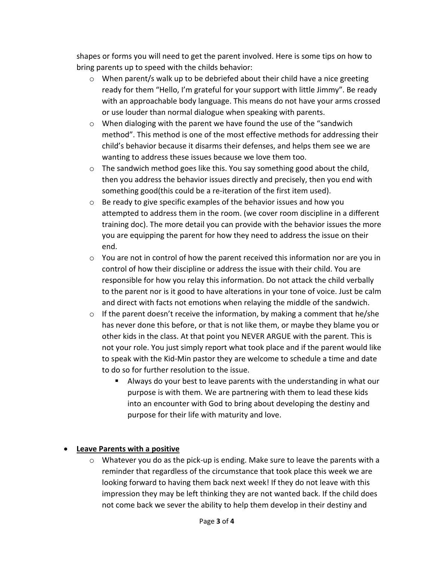shapes or forms you will need to get the parent involved. Here is some tips on how to bring parents up to speed with the childs behavior:

- $\circ$  When parent/s walk up to be debriefed about their child have a nice greeting ready for them "Hello, I'm grateful for your support with little Jimmy". Be ready with an approachable body language. This means do not have your arms crossed or use louder than normal dialogue when speaking with parents.
- $\circ$  When dialoging with the parent we have found the use of the "sandwich method". This method is one of the most effective methods for addressing their child's behavior because it disarms their defenses, and helps them see we are wanting to address these issues because we love them too.
- $\circ$  The sandwich method goes like this. You say something good about the child, then you address the behavior issues directly and precisely, then you end with something good(this could be a re-iteration of the first item used).
- o Be ready to give specific examples of the behavior issues and how you attempted to address them in the room. (we cover room discipline in a different training doc). The more detail you can provide with the behavior issues the more you are equipping the parent for how they need to address the issue on their end.
- $\circ$  You are not in control of how the parent received this information nor are you in control of how their discipline or address the issue with their child. You are responsible for how you relay this information. Do not attack the child verbally to the parent nor is it good to have alterations in your tone of voice. Just be calm and direct with facts not emotions when relaying the middle of the sandwich.
- $\circ$  If the parent doesn't receive the information, by making a comment that he/she has never done this before, or that is not like them, or maybe they blame you or other kids in the class. At that point you NEVER ARGUE with the parent. This is not your role. You just simply report what took place and if the parent would like to speak with the Kid-Min pastor they are welcome to schedule a time and date to do so for further resolution to the issue.
	- Always do your best to leave parents with the understanding in what our purpose is with them. We are partnering with them to lead these kids into an encounter with God to bring about developing the destiny and purpose for their life with maturity and love.

## • **Leave Parents with a positive**

 $\circ$  Whatever you do as the pick-up is ending. Make sure to leave the parents with a reminder that regardless of the circumstance that took place this week we are looking forward to having them back next week! If they do not leave with this impression they may be left thinking they are not wanted back. If the child does not come back we sever the ability to help them develop in their destiny and